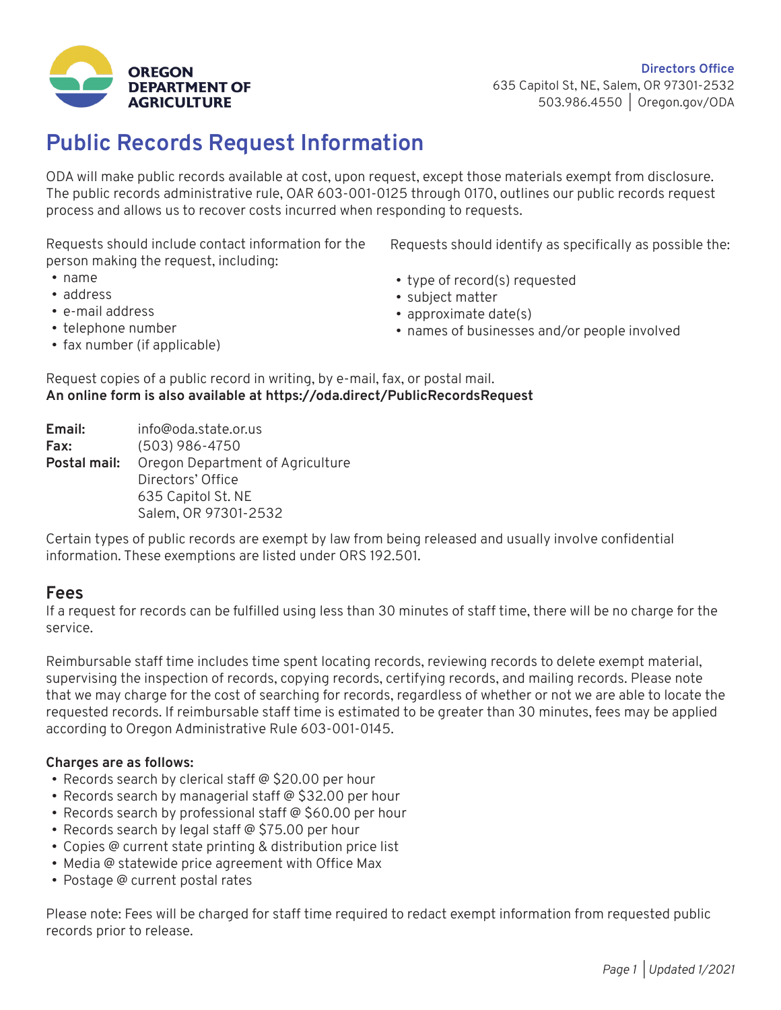

**Directors Office** 635 Capitol St, NE, Salem, OR 97301-2532 503.986.4550 | Oregon.gov/ODA

# **Public Records Request Information**

ODA will make public records available at cost, upon request, except those materials exempt from disclosure. The public records administrative rule, OAR 603-001-0125 through 0170, outlines our public records request process and allows us to recover costs incurred when responding to requests.

Requests should include contact information for the person making the request, including:

- name
- address
- e-mail address
- telephone number
- fax number (if applicable)

Requests should identify as specifically as possible the:

- type of record(s) requested
- subject matter
- approximate date(s)
- names of businesses and/or people involved

Request copies of a public record in writing, by e-mail, fax, or postal mail. **An online form is also available at https://oda.direct/PublicRecordsRequest**

**Email:** info@oda.state.or.us **Fax:** (503) 986-4750 **Postal mail:** Oregon Department of Agriculture Directors' Office 635 Capitol St. NE Salem, OR 97301-2532

Certain types of public records are exempt by law from being released and usually involve confidential information. These exemptions are listed under ORS 192.501.

## **Fees**

If a request for records can be fulfilled using less than 30 minutes of staff time, there will be no charge for the service.

Reimbursable staff time includes time spent locating records, reviewing records to delete exempt material, supervising the inspection of records, copying records, certifying records, and mailing records. Please note that we may charge for the cost of searching for records, regardless of whether or not we are able to locate the requested records. If reimbursable staff time is estimated to be greater than 30 minutes, fees may be applied according to Oregon Administrative Rule 603-001-0145.

### **Charges are as follows:**

- Records search by clerical staff @ \$20.00 per hour
- Records search by managerial staff @ \$32.00 per hour
- Records search by professional staff @ \$60.00 per hour
- Records search by legal staff @ \$75.00 per hour
- Copies @ current state printing & distribution price list
- Media @ statewide price agreement with Office Max
- Postage @ current postal rates

Please note: Fees will be charged for staff time required to redact exempt information from requested public records prior to release.